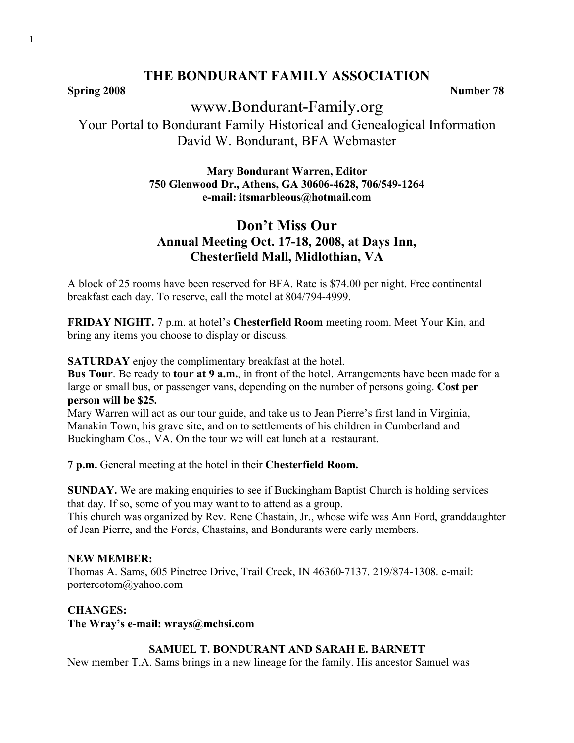**Spring 2008** Number 78

# www.Bondurant-Family.org

Your Portal to Bondurant Family Historical and Genealogical Information David W. Bondurant, BFA Webmaster

## **Mary Bondurant Warren, Editor 750 Glenwood Dr., Athens, GA 30606-4628, 706/549-1264 e-mail: itsmarbleous@hotmail.com**

# **Don't Miss Our Annual Meeting Oct. 17-18, 2008, at Days Inn, Chesterfield Mall, Midlothian, VA**

A block of 25 rooms have been reserved for BFA. Rate is \$74.00 per night. Free continental breakfast each day. To reserve, call the motel at 804/794-4999.

**FRIDAY NIGHT.** 7 p.m. at hotel's **Chesterfield Room** meeting room. Meet Your Kin, and bring any items you choose to display or discuss.

**SATURDAY** enjoy the complimentary breakfast at the hotel.

**Bus Tour**. Be ready to **tour at 9 a.m.**, in front of the hotel. Arrangements have been made for a large or small bus, or passenger vans, depending on the number of persons going. **Cost per person will be \$25.**

Mary Warren will act as our tour guide, and take us to Jean Pierre's first land in Virginia, Manakin Town, his grave site, and on to settlements of his children in Cumberland and Buckingham Cos., VA. On the tour we will eat lunch at a restaurant.

**7 p.m.** General meeting at the hotel in their **Chesterfield Room.** 

**SUNDAY.** We are making enquiries to see if Buckingham Baptist Church is holding services that day. If so, some of you may want to to attend as a group.

This church was organized by Rev. Rene Chastain, Jr., whose wife was Ann Ford, granddaughter of Jean Pierre, and the Fords, Chastains, and Bondurants were early members.

### **NEW MEMBER:**

Thomas A. Sams, 605 Pinetree Drive, Trail Creek, IN 46360-7137. 219/874-1308. e-mail: portercotom@yahoo.com

**CHANGES:**

**The Wray's e-mail: wrays@mchsi.com**

## **SAMUEL T. BONDURANT AND SARAH E. BARNETT**

New member T.A. Sams brings in a new lineage for the family. His ancestor Samuel was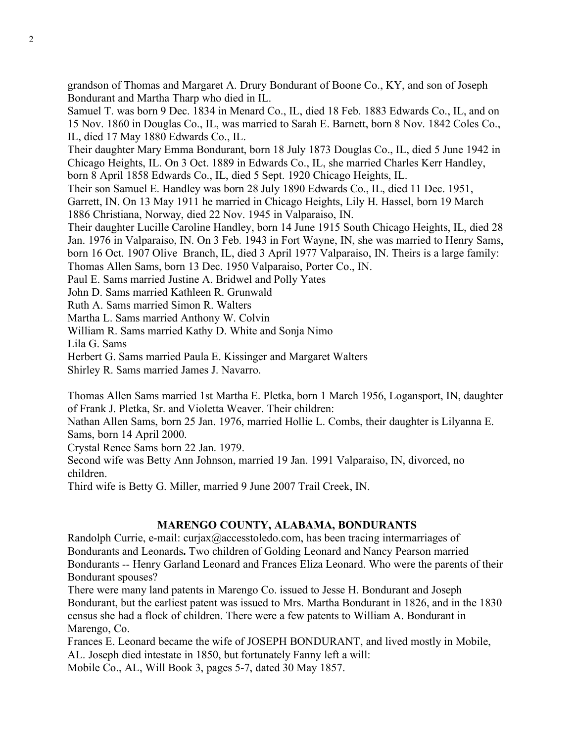grandson of Thomas and Margaret A. Drury Bondurant of Boone Co., KY, and son of Joseph Bondurant and Martha Tharp who died in IL.

Samuel T. was born 9 Dec. 1834 in Menard Co., IL, died 18 Feb. 1883 Edwards Co., IL, and on 15 Nov. 1860 in Douglas Co., IL, was married to Sarah E. Barnett, born 8 Nov. 1842 Coles Co., IL, died 17 May 1880 Edwards Co., IL.

Their daughter Mary Emma Bondurant, born 18 July 1873 Douglas Co., IL, died 5 June 1942 in Chicago Heights, IL. On 3 Oct. 1889 in Edwards Co., IL, she married Charles Kerr Handley, born 8 April 1858 Edwards Co., IL, died 5 Sept. 1920 Chicago Heights, IL.

Their son Samuel E. Handley was born 28 July 1890 Edwards Co., IL, died 11 Dec. 1951,

Garrett, IN. On 13 May 1911 he married in Chicago Heights, Lily H. Hassel, born 19 March 1886 Christiana, Norway, died 22 Nov. 1945 in Valparaiso, IN.

Their daughter Lucille Caroline Handley, born 14 June 1915 South Chicago Heights, IL, died 28 Jan. 1976 in Valparaiso, IN. On 3 Feb. 1943 in Fort Wayne, IN, she was married to Henry Sams, born 16 Oct. 1907 Olive Branch, IL, died 3 April 1977 Valparaiso, IN. Theirs is a large family: Thomas Allen Sams, born 13 Dec. 1950 Valparaiso, Porter Co., IN.

Paul E. Sams married Justine A. Bridwel and Polly Yates

John D. Sams married Kathleen R. Grunwald

Ruth A. Sams married Simon R. Walters

Martha L. Sams married Anthony W. Colvin

William R. Sams married Kathy D. White and Sonja Nimo

Lila G. Sams

Herbert G. Sams married Paula E. Kissinger and Margaret Walters

Shirley R. Sams married James J. Navarro.

Thomas Allen Sams married 1st Martha E. Pletka, born 1 March 1956, Logansport, IN, daughter of Frank J. Pletka, Sr. and Violetta Weaver. Their children:

Nathan Allen Sams, born 25 Jan. 1976, married Hollie L. Combs, their daughter is Lilyanna E. Sams, born 14 April 2000.

Crystal Renee Sams born 22 Jan. 1979.

Second wife was Betty Ann Johnson, married 19 Jan. 1991 Valparaiso, IN, divorced, no children.

Third wife is Betty G. Miller, married 9 June 2007 Trail Creek, IN.

### **MARENGO COUNTY, ALABAMA, BONDURANTS**

Randolph Currie, e-mail: curjax@accesstoledo.com, has been tracing intermarriages of Bondurants and Leonards**.** Two children of Golding Leonard and Nancy Pearson married Bondurants -- Henry Garland Leonard and Frances Eliza Leonard. Who were the parents of their Bondurant spouses?

There were many land patents in Marengo Co. issued to Jesse H. Bondurant and Joseph Bondurant, but the earliest patent was issued to Mrs. Martha Bondurant in 1826, and in the 1830 census she had a flock of children. There were a few patents to William A. Bondurant in Marengo, Co.

Frances E. Leonard became the wife of JOSEPH BONDURANT, and lived mostly in Mobile, AL. Joseph died intestate in 1850, but fortunately Fanny left a will:

Mobile Co., AL, Will Book 3, pages 5-7, dated 30 May 1857.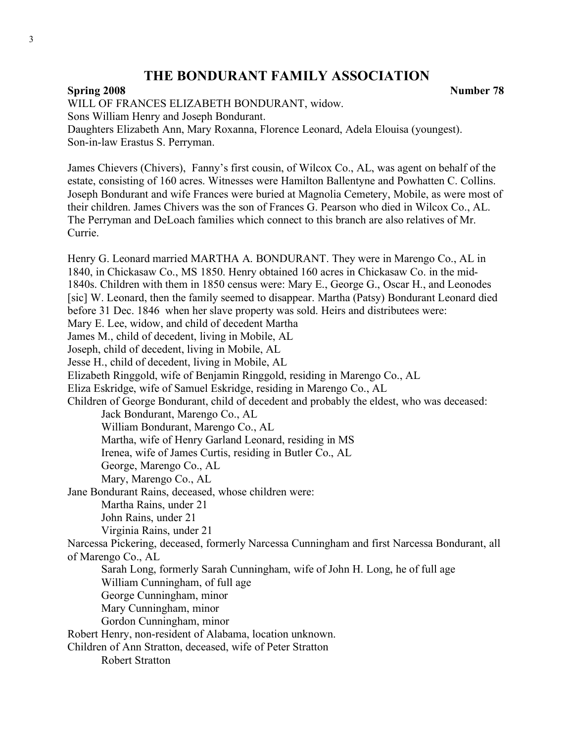#### **Spring 2008** Number 78

WILL OF FRANCES ELIZABETH BONDURANT, widow.

Sons William Henry and Joseph Bondurant.

Daughters Elizabeth Ann, Mary Roxanna, Florence Leonard, Adela Elouisa (youngest). Son-in-law Erastus S. Perryman.

James Chievers (Chivers), Fanny's first cousin, of Wilcox Co., AL, was agent on behalf of the estate, consisting of 160 acres. Witnesses were Hamilton Ballentyne and Powhatten C. Collins. Joseph Bondurant and wife Frances were buried at Magnolia Cemetery, Mobile, as were most of their children. James Chivers was the son of Frances G. Pearson who died in Wilcox Co., AL. The Perryman and DeLoach families which connect to this branch are also relatives of Mr. Currie.

Henry G. Leonard married MARTHA A. BONDURANT. They were in Marengo Co., AL in 1840, in Chickasaw Co., MS 1850. Henry obtained 160 acres in Chickasaw Co. in the mid-1840s. Children with them in 1850 census were: Mary E., George G., Oscar H., and Leonodes [sic] W. Leonard, then the family seemed to disappear. Martha (Patsy) Bondurant Leonard died before 31 Dec. 1846 when her slave property was sold. Heirs and distributees were: Mary E. Lee, widow, and child of decedent Martha James M., child of decedent, living in Mobile, AL Joseph, child of decedent, living in Mobile, AL Jesse H., child of decedent, living in Mobile, AL Elizabeth Ringgold, wife of Benjamin Ringgold, residing in Marengo Co., AL Eliza Eskridge, wife of Samuel Eskridge, residing in Marengo Co., AL Children of George Bondurant, child of decedent and probably the eldest, who was deceased: Jack Bondurant, Marengo Co., AL William Bondurant, Marengo Co., AL Martha, wife of Henry Garland Leonard, residing in MS Irenea, wife of James Curtis, residing in Butler Co., AL George, Marengo Co., AL Mary, Marengo Co., AL Jane Bondurant Rains, deceased, whose children were: Martha Rains, under 21 John Rains, under 21 Virginia Rains, under 21 Narcessa Pickering, deceased, formerly Narcessa Cunningham and first Narcessa Bondurant, all of Marengo Co., AL Sarah Long, formerly Sarah Cunningham, wife of John H. Long, he of full age William Cunningham, of full age George Cunningham, minor Mary Cunningham, minor Gordon Cunningham, minor Robert Henry, non-resident of Alabama, location unknown. Children of Ann Stratton, deceased, wife of Peter Stratton Robert Stratton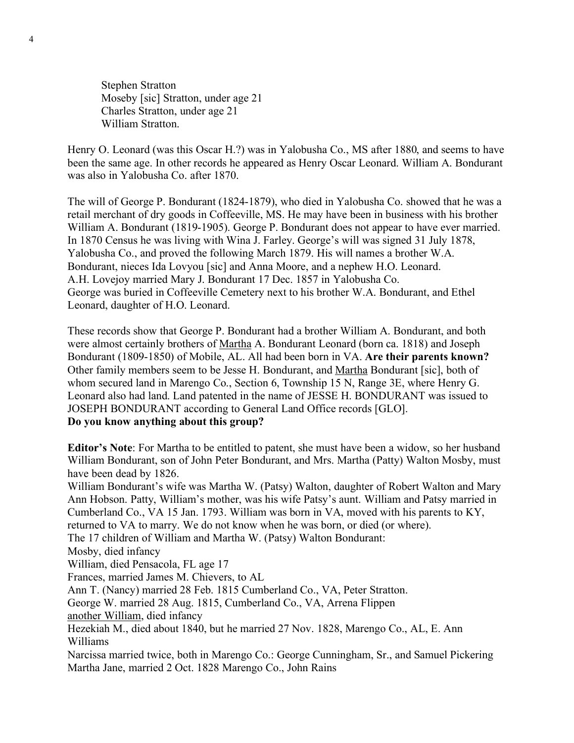Stephen Stratton Moseby [sic] Stratton, under age 21 Charles Stratton, under age 21 William Stratton.

Henry O. Leonard (was this Oscar H.?) was in Yalobusha Co., MS after 1880, and seems to have been the same age. In other records he appeared as Henry Oscar Leonard. William A. Bondurant was also in Yalobusha Co. after 1870.

The will of George P. Bondurant (1824-1879), who died in Yalobusha Co. showed that he was a retail merchant of dry goods in Coffeeville, MS. He may have been in business with his brother William A. Bondurant (1819-1905). George P. Bondurant does not appear to have ever married. In 1870 Census he was living with Wina J. Farley. George's will was signed 31 July 1878, Yalobusha Co., and proved the following March 1879. His will names a brother W.A. Bondurant, nieces Ida Lovyou [sic] and Anna Moore, and a nephew H.O. Leonard. A.H. Lovejoy married Mary J. Bondurant 17 Dec. 1857 in Yalobusha Co. George was buried in Coffeeville Cemetery next to his brother W.A. Bondurant, and Ethel Leonard, daughter of H.O. Leonard.

These records show that George P. Bondurant had a brother William A. Bondurant, and both were almost certainly brothers of Martha A. Bondurant Leonard (born ca. 1818) and Joseph Bondurant (1809-1850) of Mobile, AL. All had been born in VA. **Are their parents known?** Other family members seem to be Jesse H. Bondurant, and Martha Bondurant [sic], both of whom secured land in Marengo Co., Section 6, Township 15 N, Range 3E, where Henry G. Leonard also had land. Land patented in the name of JESSE H. BONDURANT was issued to JOSEPH BONDURANT according to General Land Office records [GLO].

**Do you know anything about this group?**

**Editor's Note**: For Martha to be entitled to patent, she must have been a widow, so her husband William Bondurant, son of John Peter Bondurant, and Mrs. Martha (Patty) Walton Mosby, must have been dead by 1826.

William Bondurant's wife was Martha W. (Patsy) Walton, daughter of Robert Walton and Mary Ann Hobson. Patty, William's mother, was his wife Patsy's aunt. William and Patsy married in Cumberland Co., VA 15 Jan. 1793. William was born in VA, moved with his parents to KY, returned to VA to marry. We do not know when he was born, or died (or where).

The 17 children of William and Martha W. (Patsy) Walton Bondurant:

Mosby, died infancy

William, died Pensacola, FL age 17

Frances, married James M. Chievers, to AL

Ann T. (Nancy) married 28 Feb. 1815 Cumberland Co., VA, Peter Stratton.

George W. married 28 Aug. 1815, Cumberland Co., VA, Arrena Flippen

another William, died infancy

Hezekiah M., died about 1840, but he married 27 Nov. 1828, Marengo Co., AL, E. Ann Williams

Narcissa married twice, both in Marengo Co.: George Cunningham, Sr., and Samuel Pickering Martha Jane, married 2 Oct. 1828 Marengo Co., John Rains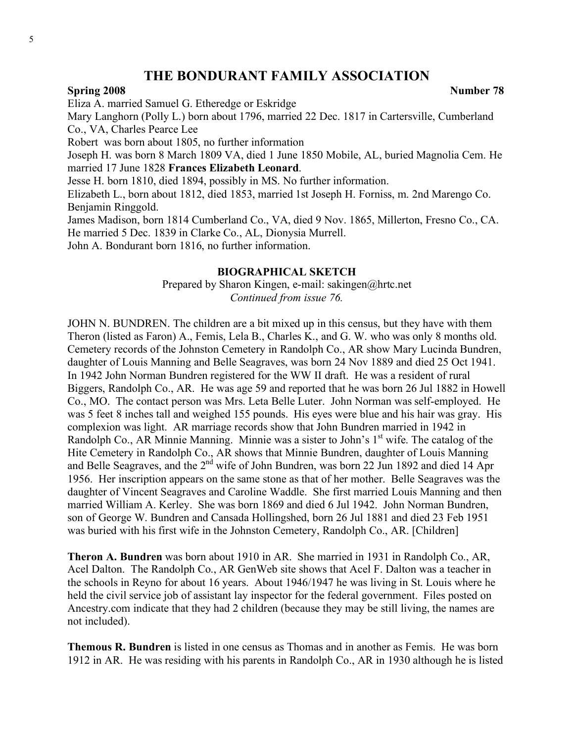#### **Spring 2008** Number 78

Eliza A. married Samuel G. Etheredge or Eskridge Mary Langhorn (Polly L.) born about 1796, married 22 Dec. 1817 in Cartersville, Cumberland Co., VA, Charles Pearce Lee Robert was born about 1805, no further information Joseph H. was born 8 March 1809 VA, died 1 June 1850 Mobile, AL, buried Magnolia Cem. He married 17 June 1828 **Frances Elizabeth Leonard**.

Jesse H. born 1810, died 1894, possibly in MS. No further information.

Elizabeth L., born about 1812, died 1853, married 1st Joseph H. Forniss, m. 2nd Marengo Co. Benjamin Ringgold.

James Madison, born 1814 Cumberland Co., VA, died 9 Nov. 1865, Millerton, Fresno Co., CA. He married 5 Dec. 1839 in Clarke Co., AL, Dionysia Murrell. John A. Bondurant born 1816, no further information.

#### **BIOGRAPHICAL SKETCH**

Prepared by Sharon Kingen, e-mail: sakingen@hrtc.net *Continued from issue 76.*

JOHN N. BUNDREN. The children are a bit mixed up in this census, but they have with them Theron (listed as Faron) A., Femis, Lela B., Charles K., and G. W. who was only 8 months old. Cemetery records of the Johnston Cemetery in Randolph Co., AR show Mary Lucinda Bundren, daughter of Louis Manning and Belle Seagraves, was born 24 Nov 1889 and died 25 Oct 1941. In 1942 John Norman Bundren registered for the WW II draft. He was a resident of rural Biggers, Randolph Co., AR. He was age 59 and reported that he was born 26 Jul 1882 in Howell Co., MO. The contact person was Mrs. Leta Belle Luter. John Norman was self-employed. He was 5 feet 8 inches tall and weighed 155 pounds. His eyes were blue and his hair was gray. His complexion was light. AR marriage records show that John Bundren married in 1942 in Randolph Co., AR Minnie Manning. Minnie was a sister to John's  $1<sup>st</sup>$  wife. The catalog of the Hite Cemetery in Randolph Co., AR shows that Minnie Bundren, daughter of Louis Manning and Belle Seagraves, and the 2<sup>nd</sup> wife of John Bundren, was born 22 Jun 1892 and died 14 Apr 1956. Her inscription appears on the same stone as that of her mother. Belle Seagraves was the daughter of Vincent Seagraves and Caroline Waddle. She first married Louis Manning and then married William A. Kerley. She was born 1869 and died 6 Jul 1942. John Norman Bundren, son of George W. Bundren and Cansada Hollingshed, born 26 Jul 1881 and died 23 Feb 1951 was buried with his first wife in the Johnston Cemetery, Randolph Co., AR. [Children]

**Theron A. Bundren** was born about 1910 in AR. She married in 1931 in Randolph Co., AR, Acel Dalton. The Randolph Co., AR GenWeb site shows that Acel F. Dalton was a teacher in the schools in Reyno for about 16 years. About 1946/1947 he was living in St. Louis where he held the civil service job of assistant lay inspector for the federal government. Files posted on Ancestry.com indicate that they had 2 children (because they may be still living, the names are not included).

**Themous R. Bundren** is listed in one census as Thomas and in another as Femis. He was born 1912 in AR. He was residing with his parents in Randolph Co., AR in 1930 although he is listed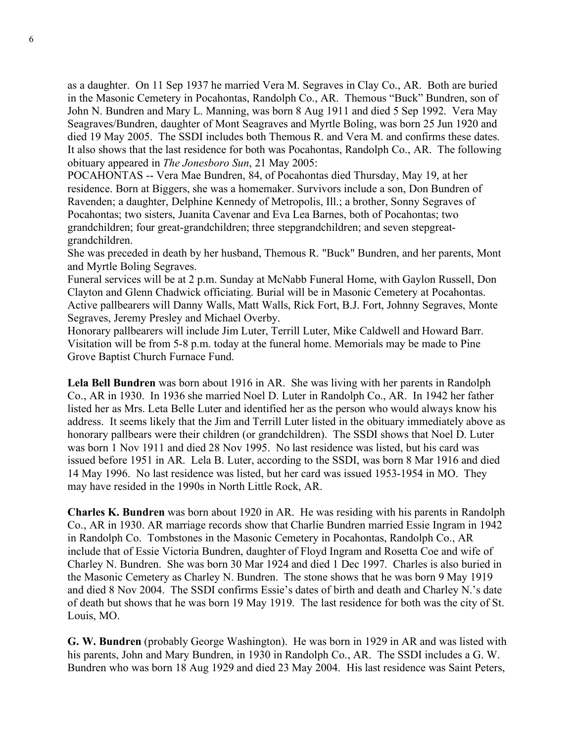as a daughter. On 11 Sep 1937 he married Vera M. Segraves in Clay Co., AR. Both are buried in the Masonic Cemetery in Pocahontas, Randolph Co., AR. Themous "Buck" Bundren, son of John N. Bundren and Mary L. Manning, was born 8 Aug 1911 and died 5 Sep 1992. Vera May Seagraves/Bundren, daughter of Mont Seagraves and Myrtle Boling, was born 25 Jun 1920 and died 19 May 2005. The SSDI includes both Themous R. and Vera M. and confirms these dates. It also shows that the last residence for both was Pocahontas, Randolph Co., AR. The following obituary appeared in *The Jonesboro Sun*, 21 May 2005:

POCAHONTAS -- Vera Mae Bundren, 84, of Pocahontas died Thursday, May 19, at her residence. Born at Biggers, she was a homemaker. Survivors include a son, Don Bundren of Ravenden; a daughter, Delphine Kennedy of Metropolis, Ill.; a brother, Sonny Segraves of Pocahontas; two sisters, Juanita Cavenar and Eva Lea Barnes, both of Pocahontas; two grandchildren; four great-grandchildren; three stepgrandchildren; and seven stepgreatgrandchildren.

She was preceded in death by her husband, Themous R. "Buck" Bundren, and her parents, Mont and Myrtle Boling Segraves.

Funeral services will be at 2 p.m. Sunday at McNabb Funeral Home, with Gaylon Russell, Don Clayton and Glenn Chadwick officiating. Burial will be in Masonic Cemetery at Pocahontas. Active pallbearers will Danny Walls, Matt Walls, Rick Fort, B.J. Fort, Johnny Segraves, Monte Segraves, Jeremy Presley and Michael Overby.

Honorary pallbearers will include Jim Luter, Terrill Luter, Mike Caldwell and Howard Barr. Visitation will be from 5-8 p.m. today at the funeral home. Memorials may be made to Pine Grove Baptist Church Furnace Fund.

**Lela Bell Bundren** was born about 1916 in AR. She was living with her parents in Randolph Co., AR in 1930. In 1936 she married Noel D. Luter in Randolph Co., AR. In 1942 her father listed her as Mrs. Leta Belle Luter and identified her as the person who would always know his address. It seems likely that the Jim and Terrill Luter listed in the obituary immediately above as honorary pallbears were their children (or grandchildren). The SSDI shows that Noel D. Luter was born 1 Nov 1911 and died 28 Nov 1995. No last residence was listed, but his card was issued before 1951 in AR. Lela B. Luter, according to the SSDI, was born 8 Mar 1916 and died 14 May 1996. No last residence was listed, but her card was issued 1953-1954 in MO. They may have resided in the 1990s in North Little Rock, AR.

**Charles K. Bundren** was born about 1920 in AR. He was residing with his parents in Randolph Co., AR in 1930. AR marriage records show that Charlie Bundren married Essie Ingram in 1942 in Randolph Co. Tombstones in the Masonic Cemetery in Pocahontas, Randolph Co., AR include that of Essie Victoria Bundren, daughter of Floyd Ingram and Rosetta Coe and wife of Charley N. Bundren. She was born 30 Mar 1924 and died 1 Dec 1997. Charles is also buried in the Masonic Cemetery as Charley N. Bundren. The stone shows that he was born 9 May 1919 and died 8 Nov 2004. The SSDI confirms Essie's dates of birth and death and Charley N.'s date of death but shows that he was born 19 May 1919. The last residence for both was the city of St. Louis, MO.

**G. W. Bundren** (probably George Washington). He was born in 1929 in AR and was listed with his parents, John and Mary Bundren, in 1930 in Randolph Co., AR. The SSDI includes a G. W. Bundren who was born 18 Aug 1929 and died 23 May 2004. His last residence was Saint Peters,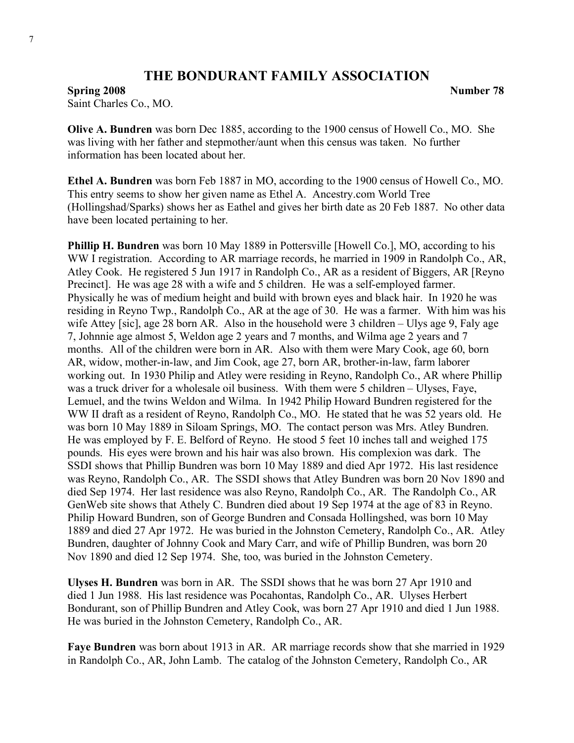**Spring 2008** Number 78 Saint Charles Co., MO.

**Olive A. Bundren** was born Dec 1885, according to the 1900 census of Howell Co., MO. She was living with her father and stepmother/aunt when this census was taken. No further information has been located about her.

**Ethel A. Bundren** was born Feb 1887 in MO, according to the 1900 census of Howell Co., MO. This entry seems to show her given name as Ethel A. Ancestry.com World Tree (Hollingshad/Sparks) shows her as Eathel and gives her birth date as 20 Feb 1887. No other data have been located pertaining to her.

**Phillip H. Bundren** was born 10 May 1889 in Pottersville [Howell Co.], MO, according to his WW I registration. According to AR marriage records, he married in 1909 in Randolph Co., AR, Atley Cook. He registered 5 Jun 1917 in Randolph Co., AR as a resident of Biggers, AR [Reyno Precinct]. He was age 28 with a wife and 5 children. He was a self-employed farmer. Physically he was of medium height and build with brown eyes and black hair. In 1920 he was residing in Reyno Twp., Randolph Co., AR at the age of 30. He was a farmer. With him was his wife Attey [sic], age 28 born AR. Also in the household were 3 children – Ulys age 9, Faly age 7, Johnnie age almost 5, Weldon age 2 years and 7 months, and Wilma age 2 years and 7 months. All of the children were born in AR. Also with them were Mary Cook, age 60, born AR, widow, mother-in-law, and Jim Cook, age 27, born AR, brother-in-law, farm laborer working out. In 1930 Philip and Atley were residing in Reyno, Randolph Co., AR where Phillip was a truck driver for a wholesale oil business. With them were 5 children – Ulyses, Fave, Lemuel, and the twins Weldon and Wilma. In 1942 Philip Howard Bundren registered for the WW II draft as a resident of Reyno, Randolph Co., MO. He stated that he was 52 years old. He was born 10 May 1889 in Siloam Springs, MO. The contact person was Mrs. Atley Bundren. He was employed by F. E. Belford of Reyno. He stood 5 feet 10 inches tall and weighed 175 pounds. His eyes were brown and his hair was also brown. His complexion was dark. The SSDI shows that Phillip Bundren was born 10 May 1889 and died Apr 1972. His last residence was Reyno, Randolph Co., AR. The SSDI shows that Atley Bundren was born 20 Nov 1890 and died Sep 1974. Her last residence was also Reyno, Randolph Co., AR. The Randolph Co., AR GenWeb site shows that Athely C. Bundren died about 19 Sep 1974 at the age of 83 in Reyno. Philip Howard Bundren, son of George Bundren and Consada Hollingshed, was born 10 May 1889 and died 27 Apr 1972. He was buried in the Johnston Cemetery, Randolph Co., AR. Atley Bundren, daughter of Johnny Cook and Mary Carr, and wife of Phillip Bundren, was born 20 Nov 1890 and died 12 Sep 1974. She, too, was buried in the Johnston Cemetery.

**Ulyses H. Bundren** was born in AR. The SSDI shows that he was born 27 Apr 1910 and died 1 Jun 1988. His last residence was Pocahontas, Randolph Co., AR. Ulyses Herbert Bondurant, son of Phillip Bundren and Atley Cook, was born 27 Apr 1910 and died 1 Jun 1988. He was buried in the Johnston Cemetery, Randolph Co., AR.

**Faye Bundren** was born about 1913 in AR. AR marriage records show that she married in 1929 in Randolph Co., AR, John Lamb. The catalog of the Johnston Cemetery, Randolph Co., AR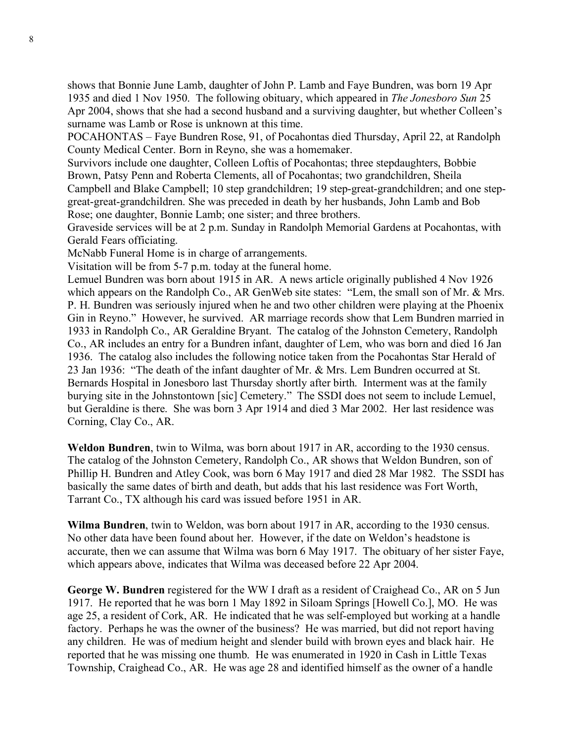shows that Bonnie June Lamb, daughter of John P. Lamb and Faye Bundren, was born 19 Apr 1935 and died 1 Nov 1950. The following obituary, which appeared in *The Jonesboro Sun* 25 Apr 2004, shows that she had a second husband and a surviving daughter, but whether Colleen's surname was Lamb or Rose is unknown at this time.

POCAHONTAS – Faye Bundren Rose, 91, of Pocahontas died Thursday, April 22, at Randolph County Medical Center. Born in Reyno, she was a homemaker.

Survivors include one daughter, Colleen Loftis of Pocahontas; three stepdaughters, Bobbie Brown, Patsy Penn and Roberta Clements, all of Pocahontas; two grandchildren, Sheila Campbell and Blake Campbell; 10 step grandchildren; 19 step-great-grandchildren; and one stepgreat-great-grandchildren. She was preceded in death by her husbands, John Lamb and Bob Rose; one daughter, Bonnie Lamb; one sister; and three brothers.

Graveside services will be at 2 p.m. Sunday in Randolph Memorial Gardens at Pocahontas, with Gerald Fears officiating.

McNabb Funeral Home is in charge of arrangements.

Visitation will be from 5-7 p.m. today at the funeral home.

Lemuel Bundren was born about 1915 in AR. A news article originally published 4 Nov 1926 which appears on the Randolph Co., AR GenWeb site states: "Lem, the small son of Mr. & Mrs. P. H. Bundren was seriously injured when he and two other children were playing at the Phoenix Gin in Reyno." However, he survived. AR marriage records show that Lem Bundren married in 1933 in Randolph Co., AR Geraldine Bryant. The catalog of the Johnston Cemetery, Randolph Co., AR includes an entry for a Bundren infant, daughter of Lem, who was born and died 16 Jan 1936. The catalog also includes the following notice taken from the Pocahontas Star Herald of 23 Jan 1936: "The death of the infant daughter of Mr. & Mrs. Lem Bundren occurred at St. Bernards Hospital in Jonesboro last Thursday shortly after birth. Interment was at the family burying site in the Johnstontown [sic] Cemetery." The SSDI does not seem to include Lemuel, but Geraldine is there. She was born 3 Apr 1914 and died 3 Mar 2002. Her last residence was Corning, Clay Co., AR.

**Weldon Bundren**, twin to Wilma, was born about 1917 in AR, according to the 1930 census. The catalog of the Johnston Cemetery, Randolph Co., AR shows that Weldon Bundren, son of Phillip H. Bundren and Atley Cook, was born 6 May 1917 and died 28 Mar 1982. The SSDI has basically the same dates of birth and death, but adds that his last residence was Fort Worth, Tarrant Co., TX although his card was issued before 1951 in AR.

**Wilma Bundren**, twin to Weldon, was born about 1917 in AR, according to the 1930 census. No other data have been found about her. However, if the date on Weldon's headstone is accurate, then we can assume that Wilma was born 6 May 1917. The obituary of her sister Faye, which appears above, indicates that Wilma was deceased before 22 Apr 2004.

**George W. Bundren** registered for the WW I draft as a resident of Craighead Co., AR on 5 Jun 1917. He reported that he was born 1 May 1892 in Siloam Springs [Howell Co.], MO. He was age 25, a resident of Cork, AR. He indicated that he was self-employed but working at a handle factory. Perhaps he was the owner of the business? He was married, but did not report having any children. He was of medium height and slender build with brown eyes and black hair. He reported that he was missing one thumb. He was enumerated in 1920 in Cash in Little Texas Township, Craighead Co., AR. He was age 28 and identified himself as the owner of a handle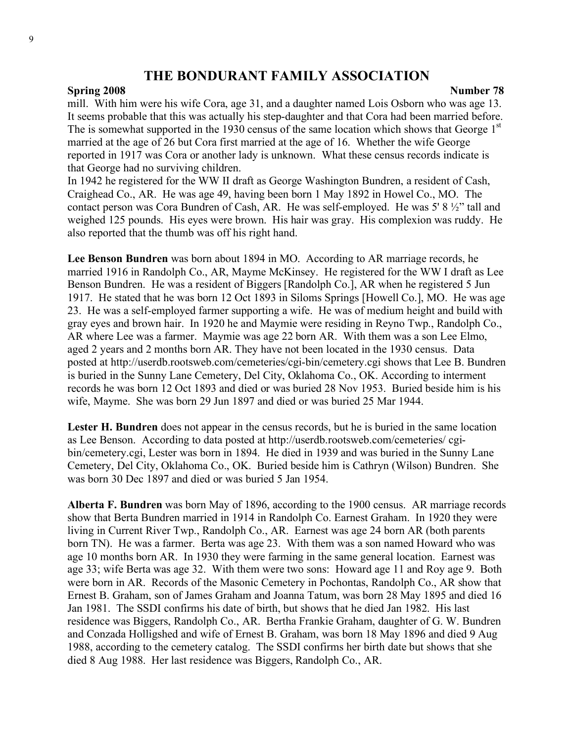#### **Spring 2008** Number 78

mill. With him were his wife Cora, age 31, and a daughter named Lois Osborn who was age 13. It seems probable that this was actually his step-daughter and that Cora had been married before. The is somewhat supported in the 1930 census of the same location which shows that George 1<sup>st</sup> married at the age of 26 but Cora first married at the age of 16. Whether the wife George reported in 1917 was Cora or another lady is unknown. What these census records indicate is that George had no surviving children.

In 1942 he registered for the WW II draft as George Washington Bundren, a resident of Cash, Craighead Co., AR. He was age 49, having been born 1 May 1892 in Howel Co., MO. The contact person was Cora Bundren of Cash, AR. He was self-employed. He was 5' 8 ½" tall and weighed 125 pounds. His eyes were brown. His hair was gray. His complexion was ruddy. He also reported that the thumb was off his right hand.

**Lee Benson Bundren** was born about 1894 in MO. According to AR marriage records, he married 1916 in Randolph Co., AR, Mayme McKinsey. He registered for the WW I draft as Lee Benson Bundren. He was a resident of Biggers [Randolph Co.], AR when he registered 5 Jun 1917. He stated that he was born 12 Oct 1893 in Siloms Springs [Howell Co.], MO. He was age 23. He was a self-employed farmer supporting a wife. He was of medium height and build with gray eyes and brown hair. In 1920 he and Maymie were residing in Reyno Twp., Randolph Co., AR where Lee was a farmer. Maymie was age 22 born AR. With them was a son Lee Elmo, aged 2 years and 2 months born AR. They have not been located in the 1930 census. Data posted at http://userdb.rootsweb.com/cemeteries/cgi-bin/cemetery.cgi shows that Lee B. Bundren is buried in the Sunny Lane Cemetery, Del City, Oklahoma Co., OK. According to interment records he was born 12 Oct 1893 and died or was buried 28 Nov 1953. Buried beside him is his wife, Mayme. She was born 29 Jun 1897 and died or was buried 25 Mar 1944.

**Lester H. Bundren** does not appear in the census records, but he is buried in the same location as Lee Benson. According to data posted at http://userdb.rootsweb.com/cemeteries/ cgibin/cemetery.cgi, Lester was born in 1894. He died in 1939 and was buried in the Sunny Lane Cemetery, Del City, Oklahoma Co., OK. Buried beside him is Cathryn (Wilson) Bundren. She was born 30 Dec 1897 and died or was buried 5 Jan 1954.

**Alberta F. Bundren** was born May of 1896, according to the 1900 census. AR marriage records show that Berta Bundren married in 1914 in Randolph Co. Earnest Graham. In 1920 they were living in Current River Twp., Randolph Co., AR. Earnest was age 24 born AR (both parents born TN). He was a farmer. Berta was age 23. With them was a son named Howard who was age 10 months born AR. In 1930 they were farming in the same general location. Earnest was age 33; wife Berta was age 32. With them were two sons: Howard age 11 and Roy age 9. Both were born in AR. Records of the Masonic Cemetery in Pochontas, Randolph Co., AR show that Ernest B. Graham, son of James Graham and Joanna Tatum, was born 28 May 1895 and died 16 Jan 1981. The SSDI confirms his date of birth, but shows that he died Jan 1982. His last residence was Biggers, Randolph Co., AR. Bertha Frankie Graham, daughter of G. W. Bundren and Conzada Holligshed and wife of Ernest B. Graham, was born 18 May 1896 and died 9 Aug 1988, according to the cemetery catalog. The SSDI confirms her birth date but shows that she died 8 Aug 1988. Her last residence was Biggers, Randolph Co., AR.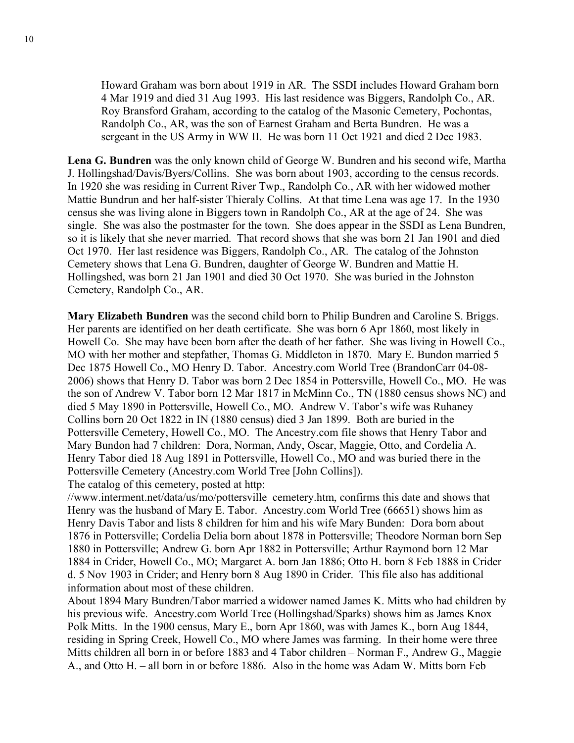Howard Graham was born about 1919 in AR. The SSDI includes Howard Graham born 4 Mar 1919 and died 31 Aug 1993. His last residence was Biggers, Randolph Co., AR. Roy Bransford Graham, according to the catalog of the Masonic Cemetery, Pochontas, Randolph Co., AR, was the son of Earnest Graham and Berta Bundren. He was a sergeant in the US Army in WW II. He was born 11 Oct 1921 and died 2 Dec 1983.

**Lena G. Bundren** was the only known child of George W. Bundren and his second wife, Martha J. Hollingshad/Davis/Byers/Collins. She was born about 1903, according to the census records. In 1920 she was residing in Current River Twp., Randolph Co., AR with her widowed mother Mattie Bundrun and her half-sister Thieraly Collins. At that time Lena was age 17. In the 1930 census she was living alone in Biggers town in Randolph Co., AR at the age of 24. She was single. She was also the postmaster for the town. She does appear in the SSDI as Lena Bundren, so it is likely that she never married. That record shows that she was born 21 Jan 1901 and died Oct 1970. Her last residence was Biggers, Randolph Co., AR. The catalog of the Johnston Cemetery shows that Lena G. Bundren, daughter of George W. Bundren and Mattie H. Hollingshed, was born 21 Jan 1901 and died 30 Oct 1970. She was buried in the Johnston Cemetery, Randolph Co., AR.

**Mary Elizabeth Bundren** was the second child born to Philip Bundren and Caroline S. Briggs. Her parents are identified on her death certificate. She was born 6 Apr 1860, most likely in Howell Co. She may have been born after the death of her father. She was living in Howell Co., MO with her mother and stepfather, Thomas G. Middleton in 1870. Mary E. Bundon married 5 Dec 1875 Howell Co., MO Henry D. Tabor. Ancestry.com World Tree (BrandonCarr 04-08- 2006) shows that Henry D. Tabor was born 2 Dec 1854 in Pottersville, Howell Co., MO. He was the son of Andrew V. Tabor born 12 Mar 1817 in McMinn Co., TN (1880 census shows NC) and died 5 May 1890 in Pottersville, Howell Co., MO. Andrew V. Tabor's wife was Ruhaney Collins born 20 Oct 1822 in IN (1880 census) died 3 Jan 1899. Both are buried in the Pottersville Cemetery, Howell Co., MO. The Ancestry.com file shows that Henry Tabor and Mary Bundon had 7 children: Dora, Norman, Andy, Oscar, Maggie, Otto, and Cordelia A. Henry Tabor died 18 Aug 1891 in Pottersville, Howell Co., MO and was buried there in the Pottersville Cemetery (Ancestry.com World Tree [John Collins]).

The catalog of this cemetery, posted at http:

//www.interment.net/data/us/mo/pottersville\_cemetery.htm, confirms this date and shows that Henry was the husband of Mary E. Tabor. Ancestry.com World Tree (66651) shows him as Henry Davis Tabor and lists 8 children for him and his wife Mary Bunden: Dora born about 1876 in Pottersville; Cordelia Delia born about 1878 in Pottersville; Theodore Norman born Sep 1880 in Pottersville; Andrew G. born Apr 1882 in Pottersville; Arthur Raymond born 12 Mar 1884 in Crider, Howell Co., MO; Margaret A. born Jan 1886; Otto H. born 8 Feb 1888 in Crider d. 5 Nov 1903 in Crider; and Henry born 8 Aug 1890 in Crider. This file also has additional information about most of these children.

About 1894 Mary Bundren/Tabor married a widower named James K. Mitts who had children by his previous wife. Ancestry.com World Tree (Hollingshad/Sparks) shows him as James Knox Polk Mitts. In the 1900 census, Mary E., born Apr 1860, was with James K., born Aug 1844, residing in Spring Creek, Howell Co., MO where James was farming. In their home were three Mitts children all born in or before 1883 and 4 Tabor children – Norman F., Andrew G., Maggie A., and Otto H. – all born in or before 1886. Also in the home was Adam W. Mitts born Feb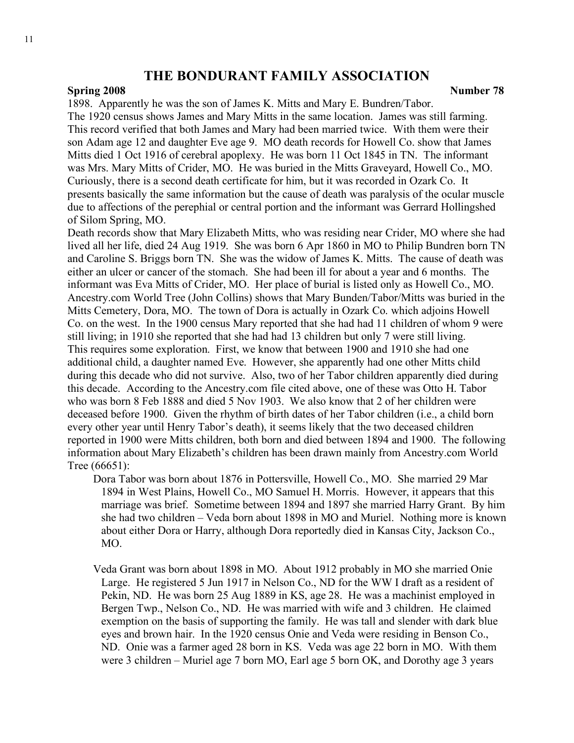#### **Spring 2008** Number 78

1898. Apparently he was the son of James K. Mitts and Mary E. Bundren/Tabor. The 1920 census shows James and Mary Mitts in the same location. James was still farming. This record verified that both James and Mary had been married twice. With them were their son Adam age 12 and daughter Eve age 9. MO death records for Howell Co. show that James Mitts died 1 Oct 1916 of cerebral apoplexy. He was born 11 Oct 1845 in TN. The informant was Mrs. Mary Mitts of Crider, MO. He was buried in the Mitts Graveyard, Howell Co., MO. Curiously, there is a second death certificate for him, but it was recorded in Ozark Co. It presents basically the same information but the cause of death was paralysis of the ocular muscle due to affections of the perephial or central portion and the informant was Gerrard Hollingshed of Silom Spring, MO.

Death records show that Mary Elizabeth Mitts, who was residing near Crider, MO where she had lived all her life, died 24 Aug 1919. She was born 6 Apr 1860 in MO to Philip Bundren born TN and Caroline S. Briggs born TN. She was the widow of James K. Mitts. The cause of death was either an ulcer or cancer of the stomach. She had been ill for about a year and 6 months. The informant was Eva Mitts of Crider, MO. Her place of burial is listed only as Howell Co., MO. Ancestry.com World Tree (John Collins) shows that Mary Bunden/Tabor/Mitts was buried in the Mitts Cemetery, Dora, MO. The town of Dora is actually in Ozark Co. which adjoins Howell Co. on the west. In the 1900 census Mary reported that she had had 11 children of whom 9 were still living; in 1910 she reported that she had had 13 children but only 7 were still living. This requires some exploration. First, we know that between 1900 and 1910 she had one additional child, a daughter named Eve. However, she apparently had one other Mitts child during this decade who did not survive. Also, two of her Tabor children apparently died during this decade. According to the Ancestry.com file cited above, one of these was Otto H. Tabor who was born 8 Feb 1888 and died 5 Nov 1903. We also know that 2 of her children were deceased before 1900. Given the rhythm of birth dates of her Tabor children (i.e., a child born every other year until Henry Tabor's death), it seems likely that the two deceased children reported in 1900 were Mitts children, both born and died between 1894 and 1900. The following information about Mary Elizabeth's children has been drawn mainly from Ancestry.com World Tree (66651):

Dora Tabor was born about 1876 in Pottersville, Howell Co., MO. She married 29 Mar 1894 in West Plains, Howell Co., MO Samuel H. Morris. However, it appears that this marriage was brief. Sometime between 1894 and 1897 she married Harry Grant. By him she had two children – Veda born about 1898 in MO and Muriel. Nothing more is known about either Dora or Harry, although Dora reportedly died in Kansas City, Jackson Co., MO.

Veda Grant was born about 1898 in MO. About 1912 probably in MO she married Onie Large. He registered 5 Jun 1917 in Nelson Co., ND for the WW I draft as a resident of Pekin, ND. He was born 25 Aug 1889 in KS, age 28. He was a machinist employed in Bergen Twp., Nelson Co., ND. He was married with wife and 3 children. He claimed exemption on the basis of supporting the family. He was tall and slender with dark blue eyes and brown hair. In the 1920 census Onie and Veda were residing in Benson Co., ND. Onie was a farmer aged 28 born in KS. Veda was age 22 born in MO. With them were 3 children – Muriel age 7 born MO, Earl age 5 born OK, and Dorothy age 3 years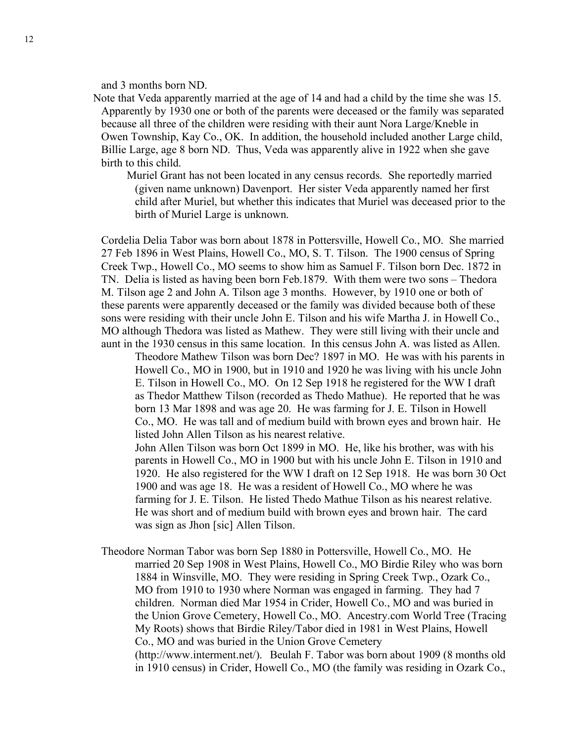and 3 months born ND.

Note that Veda apparently married at the age of 14 and had a child by the time she was 15. Apparently by 1930 one or both of the parents were deceased or the family was separated because all three of the children were residing with their aunt Nora Large/Kneble in Owen Township, Kay Co., OK. In addition, the household included another Large child, Billie Large, age 8 born ND. Thus, Veda was apparently alive in 1922 when she gave birth to this child.

Muriel Grant has not been located in any census records. She reportedly married (given name unknown) Davenport. Her sister Veda apparently named her first child after Muriel, but whether this indicates that Muriel was deceased prior to the birth of Muriel Large is unknown.

Cordelia Delia Tabor was born about 1878 in Pottersville, Howell Co., MO. She married 27 Feb 1896 in West Plains, Howell Co., MO, S. T. Tilson. The 1900 census of Spring Creek Twp., Howell Co., MO seems to show him as Samuel F. Tilson born Dec. 1872 in TN. Delia is listed as having been born Feb.1879. With them were two sons – Thedora M. Tilson age 2 and John A. Tilson age 3 months. However, by 1910 one or both of these parents were apparently deceased or the family was divided because both of these sons were residing with their uncle John E. Tilson and his wife Martha J. in Howell Co., MO although Thedora was listed as Mathew. They were still living with their uncle and aunt in the 1930 census in this same location. In this census John A. was listed as Allen.

Theodore Mathew Tilson was born Dec? 1897 in MO. He was with his parents in Howell Co., MO in 1900, but in 1910 and 1920 he was living with his uncle John E. Tilson in Howell Co., MO. On 12 Sep 1918 he registered for the WW I draft as Thedor Matthew Tilson (recorded as Thedo Mathue). He reported that he was born 13 Mar 1898 and was age 20. He was farming for J. E. Tilson in Howell Co., MO. He was tall and of medium build with brown eyes and brown hair. He listed John Allen Tilson as his nearest relative.

John Allen Tilson was born Oct 1899 in MO. He, like his brother, was with his parents in Howell Co., MO in 1900 but with his uncle John E. Tilson in 1910 and 1920. He also registered for the WW I draft on 12 Sep 1918. He was born 30 Oct 1900 and was age 18. He was a resident of Howell Co., MO where he was farming for J. E. Tilson. He listed Thedo Mathue Tilson as his nearest relative. He was short and of medium build with brown eyes and brown hair. The card was sign as Jhon [sic] Allen Tilson.

Theodore Norman Tabor was born Sep 1880 in Pottersville, Howell Co., MO. He married 20 Sep 1908 in West Plains, Howell Co., MO Birdie Riley who was born 1884 in Winsville, MO. They were residing in Spring Creek Twp., Ozark Co., MO from 1910 to 1930 where Norman was engaged in farming. They had 7 children. Norman died Mar 1954 in Crider, Howell Co., MO and was buried in the Union Grove Cemetery, Howell Co., MO. Ancestry.com World Tree (Tracing My Roots) shows that Birdie Riley/Tabor died in 1981 in West Plains, Howell Co., MO and was buried in the Union Grove Cemetery (http://www.interment.net/). Beulah F. Tabor was born about 1909 (8 months old in 1910 census) in Crider, Howell Co., MO (the family was residing in Ozark Co.,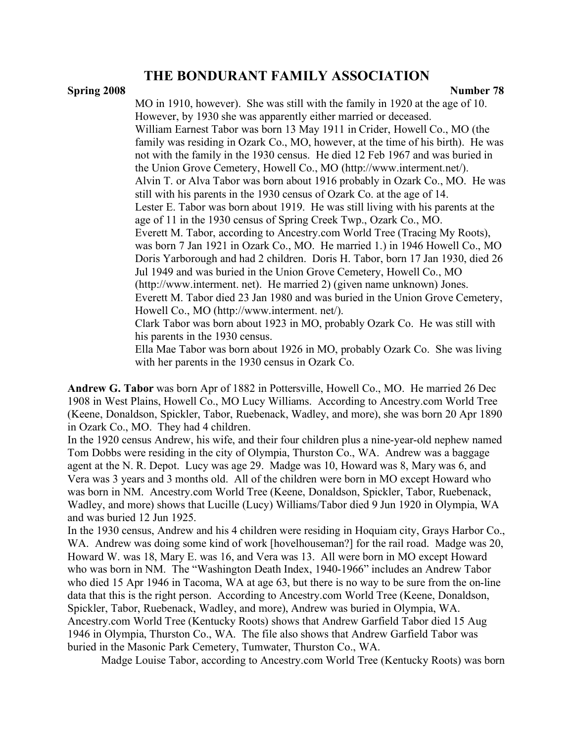#### **Spring 2008** Number 78

MO in 1910, however). She was still with the family in 1920 at the age of 10. However, by 1930 she was apparently either married or deceased. William Earnest Tabor was born 13 May 1911 in Crider, Howell Co., MO (the family was residing in Ozark Co., MO, however, at the time of his birth). He was not with the family in the 1930 census. He died 12 Feb 1967 and was buried in the Union Grove Cemetery, Howell Co., MO (http://www.interment.net/). Alvin T. or Alva Tabor was born about 1916 probably in Ozark Co., MO. He was still with his parents in the 1930 census of Ozark Co. at the age of 14. Lester E. Tabor was born about 1919. He was still living with his parents at the age of 11 in the 1930 census of Spring Creek Twp., Ozark Co., MO. Everett M. Tabor, according to Ancestry.com World Tree (Tracing My Roots), was born 7 Jan 1921 in Ozark Co., MO. He married 1.) in 1946 Howell Co., MO Doris Yarborough and had 2 children. Doris H. Tabor, born 17 Jan 1930, died 26 Jul 1949 and was buried in the Union Grove Cemetery, Howell Co., MO (http://www.interment. net). He married 2) (given name unknown) Jones. Everett M. Tabor died 23 Jan 1980 and was buried in the Union Grove Cemetery, Howell Co., MO (http://www.interment. net/). Clark Tabor was born about 1923 in MO, probably Ozark Co. He was still with his parents in the 1930 census. Ella Mae Tabor was born about 1926 in MO, probably Ozark Co. She was living with her parents in the 1930 census in Ozark Co.

**Andrew G. Tabor** was born Apr of 1882 in Pottersville, Howell Co., MO. He married 26 Dec 1908 in West Plains, Howell Co., MO Lucy Williams. According to Ancestry.com World Tree (Keene, Donaldson, Spickler, Tabor, Ruebenack, Wadley, and more), she was born 20 Apr 1890 in Ozark Co., MO. They had 4 children.

In the 1920 census Andrew, his wife, and their four children plus a nine-year-old nephew named Tom Dobbs were residing in the city of Olympia, Thurston Co., WA. Andrew was a baggage agent at the N. R. Depot. Lucy was age 29. Madge was 10, Howard was 8, Mary was 6, and Vera was 3 years and 3 months old. All of the children were born in MO except Howard who was born in NM. Ancestry.com World Tree (Keene, Donaldson, Spickler, Tabor, Ruebenack, Wadley, and more) shows that Lucille (Lucy) Williams/Tabor died 9 Jun 1920 in Olympia, WA and was buried 12 Jun 1925.

In the 1930 census, Andrew and his 4 children were residing in Hoquiam city, Grays Harbor Co., WA. Andrew was doing some kind of work [hovelhouseman?] for the rail road. Madge was 20, Howard W. was 18, Mary E. was 16, and Vera was 13. All were born in MO except Howard who was born in NM. The "Washington Death Index, 1940-1966" includes an Andrew Tabor who died 15 Apr 1946 in Tacoma, WA at age 63, but there is no way to be sure from the on-line data that this is the right person. According to Ancestry.com World Tree (Keene, Donaldson, Spickler, Tabor, Ruebenack, Wadley, and more), Andrew was buried in Olympia, WA. Ancestry.com World Tree (Kentucky Roots) shows that Andrew Garfield Tabor died 15 Aug 1946 in Olympia, Thurston Co., WA. The file also shows that Andrew Garfield Tabor was buried in the Masonic Park Cemetery, Tumwater, Thurston Co., WA.

Madge Louise Tabor, according to Ancestry.com World Tree (Kentucky Roots) was born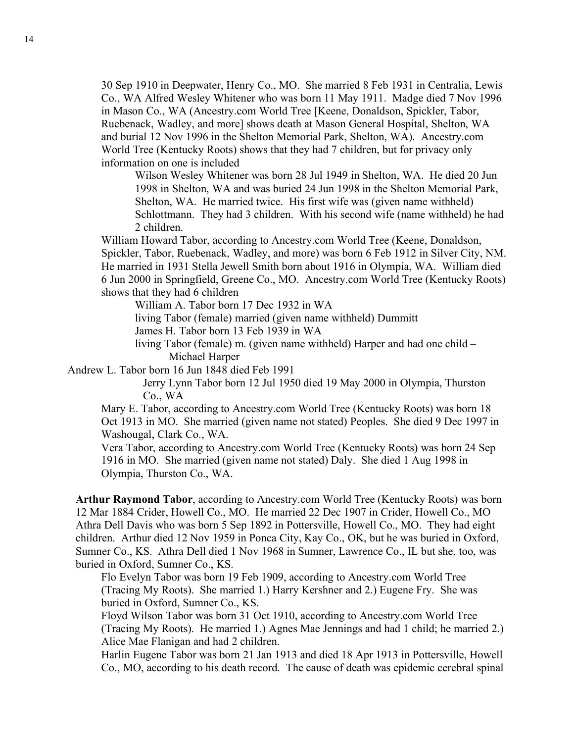30 Sep 1910 in Deepwater, Henry Co., MO. She married 8 Feb 1931 in Centralia, Lewis Co., WA Alfred Wesley Whitener who was born 11 May 1911. Madge died 7 Nov 1996 in Mason Co., WA (Ancestry.com World Tree [Keene, Donaldson, Spickler, Tabor, Ruebenack, Wadley, and more] shows death at Mason General Hospital, Shelton, WA and burial 12 Nov 1996 in the Shelton Memorial Park, Shelton, WA). Ancestry.com World Tree (Kentucky Roots) shows that they had 7 children, but for privacy only information on one is included

Wilson Wesley Whitener was born 28 Jul 1949 in Shelton, WA. He died 20 Jun 1998 in Shelton, WA and was buried 24 Jun 1998 in the Shelton Memorial Park, Shelton, WA. He married twice. His first wife was (given name withheld) Schlottmann. They had 3 children. With his second wife (name withheld) he had 2 children.

William Howard Tabor, according to Ancestry.com World Tree (Keene, Donaldson, Spickler, Tabor, Ruebenack, Wadley, and more) was born 6 Feb 1912 in Silver City, NM. He married in 1931 Stella Jewell Smith born about 1916 in Olympia, WA. William died 6 Jun 2000 in Springfield, Greene Co., MO. Ancestry.com World Tree (Kentucky Roots) shows that they had 6 children

William A. Tabor born 17 Dec 1932 in WA

living Tabor (female) married (given name withheld) Dummitt

James H. Tabor born 13 Feb 1939 in WA

living Tabor (female) m. (given name withheld) Harper and had one child – Michael Harper

Andrew L. Tabor born 16 Jun 1848 died Feb 1991

Jerry Lynn Tabor born 12 Jul 1950 died 19 May 2000 in Olympia, Thurston Co., WA

Mary E. Tabor, according to Ancestry.com World Tree (Kentucky Roots) was born 18 Oct 1913 in MO. She married (given name not stated) Peoples. She died 9 Dec 1997 in Washougal, Clark Co., WA.

Vera Tabor, according to Ancestry.com World Tree (Kentucky Roots) was born 24 Sep 1916 in MO. She married (given name not stated) Daly. She died 1 Aug 1998 in Olympia, Thurston Co., WA.

**Arthur Raymond Tabor**, according to Ancestry.com World Tree (Kentucky Roots) was born 12 Mar 1884 Crider, Howell Co., MO. He married 22 Dec 1907 in Crider, Howell Co., MO Athra Dell Davis who was born 5 Sep 1892 in Pottersville, Howell Co., MO. They had eight children. Arthur died 12 Nov 1959 in Ponca City, Kay Co., OK, but he was buried in Oxford, Sumner Co., KS. Athra Dell died 1 Nov 1968 in Sumner, Lawrence Co., IL but she, too, was buried in Oxford, Sumner Co., KS.

Flo Evelyn Tabor was born 19 Feb 1909, according to Ancestry.com World Tree (Tracing My Roots). She married 1.) Harry Kershner and 2.) Eugene Fry. She was buried in Oxford, Sumner Co., KS.

Floyd Wilson Tabor was born 31 Oct 1910, according to Ancestry.com World Tree (Tracing My Roots). He married 1.) Agnes Mae Jennings and had 1 child; he married 2.) Alice Mae Flanigan and had 2 children.

Harlin Eugene Tabor was born 21 Jan 1913 and died 18 Apr 1913 in Pottersville, Howell Co., MO, according to his death record. The cause of death was epidemic cerebral spinal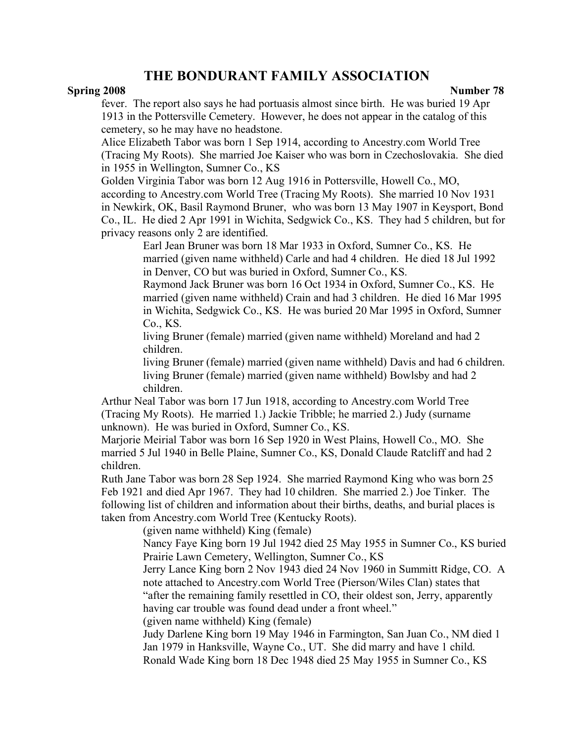### **Spring 2008** Number 78

fever. The report also says he had portuasis almost since birth. He was buried 19 Apr 1913 in the Pottersville Cemetery. However, he does not appear in the catalog of this cemetery, so he may have no headstone.

Alice Elizabeth Tabor was born 1 Sep 1914, according to Ancestry.com World Tree (Tracing My Roots). She married Joe Kaiser who was born in Czechoslovakia. She died in 1955 in Wellington, Sumner Co., KS

Golden Virginia Tabor was born 12 Aug 1916 in Pottersville, Howell Co., MO, according to Ancestry.com World Tree (Tracing My Roots). She married 10 Nov 1931 in Newkirk, OK, Basil Raymond Bruner, who was born 13 May 1907 in Keysport, Bond Co., IL. He died 2 Apr 1991 in Wichita, Sedgwick Co., KS. They had 5 children, but for privacy reasons only 2 are identified.

Earl Jean Bruner was born 18 Mar 1933 in Oxford, Sumner Co., KS. He married (given name withheld) Carle and had 4 children. He died 18 Jul 1992 in Denver, CO but was buried in Oxford, Sumner Co., KS.

Raymond Jack Bruner was born 16 Oct 1934 in Oxford, Sumner Co., KS. He married (given name withheld) Crain and had 3 children. He died 16 Mar 1995 in Wichita, Sedgwick Co., KS. He was buried 20 Mar 1995 in Oxford, Sumner Co., KS.

living Bruner (female) married (given name withheld) Moreland and had 2 children.

living Bruner (female) married (given name withheld) Davis and had 6 children. living Bruner (female) married (given name withheld) Bowlsby and had 2 children.

Arthur Neal Tabor was born 17 Jun 1918, according to Ancestry.com World Tree (Tracing My Roots). He married 1.) Jackie Tribble; he married 2.) Judy (surname unknown). He was buried in Oxford, Sumner Co., KS.

Marjorie Meirial Tabor was born 16 Sep 1920 in West Plains, Howell Co., MO. She married 5 Jul 1940 in Belle Plaine, Sumner Co., KS, Donald Claude Ratcliff and had 2 children.

Ruth Jane Tabor was born 28 Sep 1924. She married Raymond King who was born 25 Feb 1921 and died Apr 1967. They had 10 children. She married 2.) Joe Tinker. The following list of children and information about their births, deaths, and burial places is taken from Ancestry.com World Tree (Kentucky Roots).

(given name withheld) King (female)

Nancy Faye King born 19 Jul 1942 died 25 May 1955 in Sumner Co., KS buried Prairie Lawn Cemetery, Wellington, Sumner Co., KS

Jerry Lance King born 2 Nov 1943 died 24 Nov 1960 in Summitt Ridge, CO. A note attached to Ancestry.com World Tree (Pierson/Wiles Clan) states that "after the remaining family resettled in CO, their oldest son, Jerry, apparently having car trouble was found dead under a front wheel."

(given name withheld) King (female)

Judy Darlene King born 19 May 1946 in Farmington, San Juan Co., NM died 1 Jan 1979 in Hanksville, Wayne Co., UT. She did marry and have 1 child. Ronald Wade King born 18 Dec 1948 died 25 May 1955 in Sumner Co., KS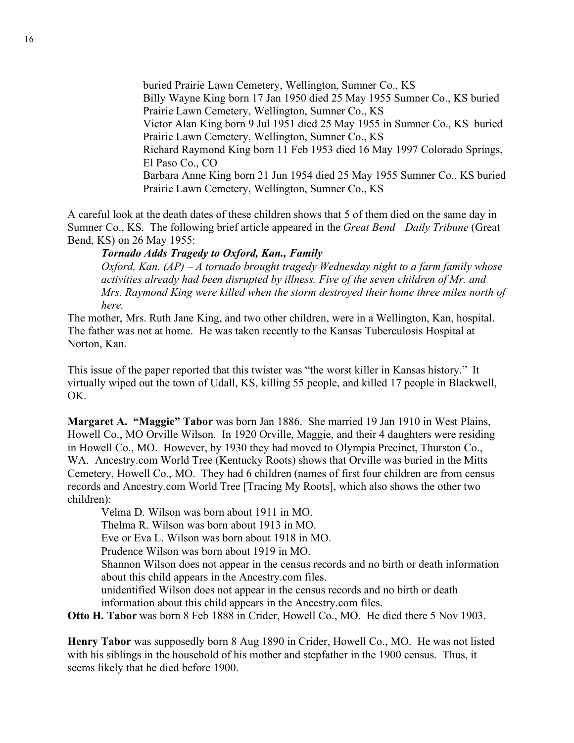buried Prairie Lawn Cemetery, Wellington, Sumner Co., KS Billy Wayne King born 17 Jan 1950 died 25 May 1955 Sumner Co., KS buried Prairie Lawn Cemetery, Wellington, Sumner Co., KS Victor Alan King born 9 Jul 1951 died 25 May 1955 in Sumner Co., KS buried Prairie Lawn Cemetery, Wellington, Sumner Co., KS Richard Raymond King born 11 Feb 1953 died 16 May 1997 Colorado Springs, El Paso Co., CO Barbara Anne King born 21 Jun 1954 died 25 May 1955 Sumner Co., KS buried Prairie Lawn Cemetery, Wellington, Sumner Co., KS

A careful look at the death dates of these children shows that 5 of them died on the same day in Sumner Co., KS. The following brief article appeared in the *Great Bend Daily Tribune* (Great Bend, KS) on 26 May 1955:

#### *Tornado Adds Tragedy to Oxford, Kan., Family*

*Oxford, Kan. (AP) – A tornado brought tragedy Wednesday night to a farm family whose activities already had been disrupted by illness. Five of the seven children of Mr. and Mrs. Raymond King were killed when the storm destroyed their home three miles north of here.*

The mother, Mrs. Ruth Jane King, and two other children, were in a Wellington, Kan, hospital. The father was not at home. He was taken recently to the Kansas Tuberculosis Hospital at Norton, Kan.

This issue of the paper reported that this twister was "the worst killer in Kansas history." It virtually wiped out the town of Udall, KS, killing 55 people, and killed 17 people in Blackwell, OK.

**Margaret A. "Maggie" Tabor** was born Jan 1886. She married 19 Jan 1910 in West Plains, Howell Co., MO Orville Wilson. In 1920 Orville, Maggie, and their 4 daughters were residing in Howell Co., MO. However, by 1930 they had moved to Olympia Precinct, Thurston Co., WA. Ancestry.com World Tree (Kentucky Roots) shows that Orville was buried in the Mitts Cemetery, Howell Co., MO. They had 6 children (names of first four children are from census records and Ancestry.com World Tree [Tracing My Roots], which also shows the other two children):

Velma D. Wilson was born about 1911 in MO.

Thelma R. Wilson was born about 1913 in MO.

Eve or Eva L. Wilson was born about 1918 in MO.

Prudence Wilson was born about 1919 in MO.

Shannon Wilson does not appear in the census records and no birth or death information about this child appears in the Ancestry.com files.

unidentified Wilson does not appear in the census records and no birth or death information about this child appears in the Ancestry.com files.

**Otto H. Tabor** was born 8 Feb 1888 in Crider, Howell Co., MO. He died there 5 Nov 1903.

**Henry Tabor** was supposedly born 8 Aug 1890 in Crider, Howell Co., MO. He was not listed with his siblings in the household of his mother and stepfather in the 1900 census. Thus, it seems likely that he died before 1900.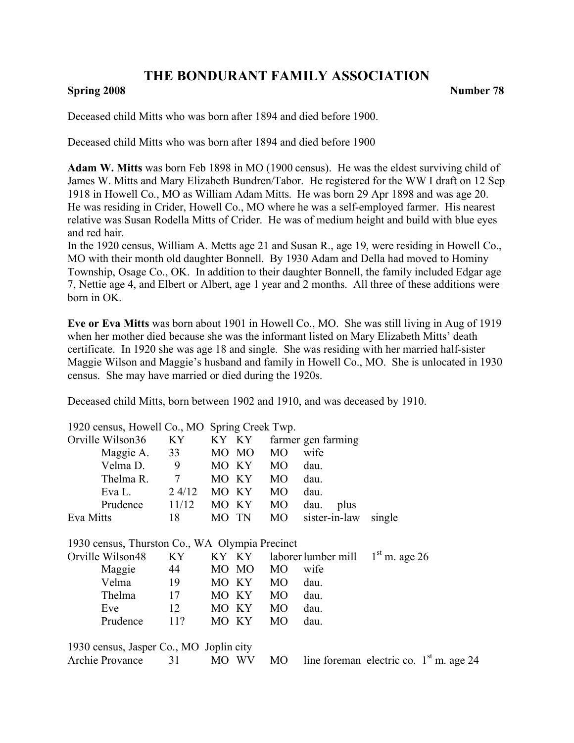## **Spring 2008** Number 78

Deceased child Mitts who was born after 1894 and died before 1900.

Deceased child Mitts who was born after 1894 and died before 1900

**Adam W. Mitts** was born Feb 1898 in MO (1900 census). He was the eldest surviving child of James W. Mitts and Mary Elizabeth Bundren/Tabor. He registered for the WW I draft on 12 Sep 1918 in Howell Co., MO as William Adam Mitts. He was born 29 Apr 1898 and was age 20. He was residing in Crider, Howell Co., MO where he was a self-employed farmer. His nearest relative was Susan Rodella Mitts of Crider. He was of medium height and build with blue eyes and red hair.

In the 1920 census, William A. Metts age 21 and Susan R., age 19, were residing in Howell Co., MO with their month old daughter Bonnell. By 1930 Adam and Della had moved to Hominy Township, Osage Co., OK. In addition to their daughter Bonnell, the family included Edgar age 7, Nettie age 4, and Elbert or Albert, age 1 year and 2 months. All three of these additions were born in OK.

**Eve or Eva Mitts** was born about 1901 in Howell Co., MO. She was still living in Aug of 1919 when her mother died because she was the informant listed on Mary Elizabeth Mitts' death certificate. In 1920 she was age 18 and single. She was residing with her married half-sister Maggie Wilson and Maggie's husband and family in Howell Co., MO. She is unlocated in 1930 census. She may have married or died during the 1920s.

Deceased child Mitts, born between 1902 and 1910, and was deceased by 1910.

| 1920 census, Howell Co., MO Spring Creek Twp.  |                 |       |       |                |                                           |                 |  |
|------------------------------------------------|-----------------|-------|-------|----------------|-------------------------------------------|-----------------|--|
| Orville Wilson36                               | KY.             |       | KY KY |                | farmer gen farming                        |                 |  |
| Maggie A.                                      | 33              |       | MO MO | M <sub>O</sub> | wife                                      |                 |  |
| Velma D.                                       | 9               |       | MO KY | <b>MO</b>      | dau.                                      |                 |  |
| Thelma R. 7                                    |                 |       | MO KY | <b>MO</b>      | dau.                                      |                 |  |
| Eva L.                                         | $2\frac{4}{12}$ |       | MO KY | MO             | dau.                                      |                 |  |
| Prudence                                       | 11/12           |       | MO KY | MO             | dau.<br>plus                              |                 |  |
| Eva Mitts                                      | 18              | MO TN |       | MO -           | sister-in-law single                      |                 |  |
| 1930 census, Thurston Co., WA Olympia Precinct |                 |       |       |                |                                           |                 |  |
| Orville Wilson48                               | KY              |       | KY KY |                | laborer lumber mill                       | $1st$ m. age 26 |  |
| Maggie                                         | 44              |       | MO MO | <b>MO</b>      | wife                                      |                 |  |
| Velma                                          | 19              |       | MO KY | <b>MO</b>      | dau.                                      |                 |  |
| Thelma                                         | 17              |       | MO KY | <b>MO</b>      | dau.                                      |                 |  |
| Eve                                            | 12              |       | MO KY | <b>MO</b>      | dau.                                      |                 |  |
| Prudence                                       | 11?             |       | MO KY | <b>MO</b>      | dau.                                      |                 |  |
| 1930 census, Jasper Co., MO Joplin city        |                 |       |       |                |                                           |                 |  |
| Archie Provance                                | 31              |       | MO WV | <b>MO</b>      | line foreman electric co. $1st$ m. age 24 |                 |  |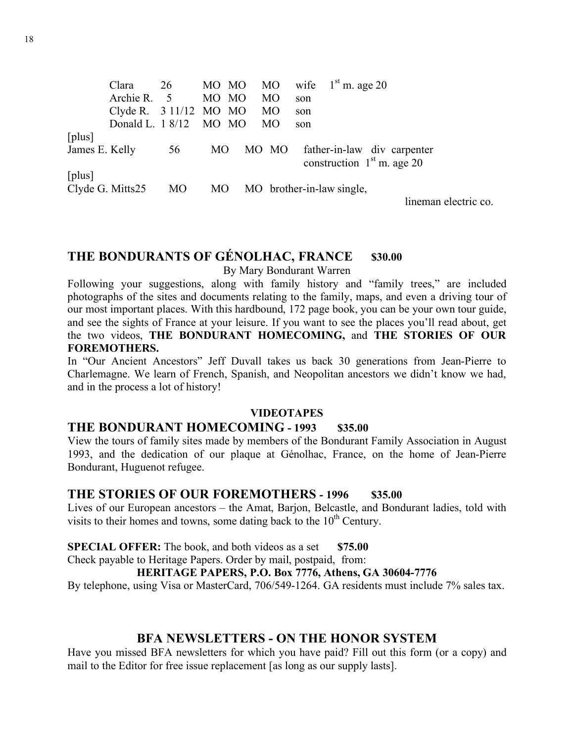Clara 26 MO MO MO wife  $1<sup>st</sup>$  m. age 20 Archie R. 5 MO MO MO son Clyde R.  $3 \frac{11}{12}$  MO MO MO son Donald L. 1 8/12 MO MO MO son [plus] James E. Kelly 56 MO MO MO father-in-law div carpenter construction  $1<sup>st</sup>$  m. age 20 [plus] Clyde G. Mitts25 MO MO MO brother-in-law single, lineman electric co.

# **THE BONDURANTS OF GÉNOLHAC, FRANCE \$30.00**

By Mary Bondurant Warren

Following your suggestions, along with family history and "family trees," are included photographs of the sites and documents relating to the family, maps, and even a driving tour of our most important places. With this hardbound, 172 page book, you can be your own tour guide, and see the sights of France at your leisure. If you want to see the places you'll read about, get the two videos, **THE BONDURANT HOMECOMING,** and **THE STORIES OF OUR FOREMOTHERS.**

In "Our Ancient Ancestors" Jeff Duvall takes us back 30 generations from Jean-Pierre to Charlemagne. We learn of French, Spanish, and Neopolitan ancestors we didn't know we had, and in the process a lot of history!

## **VIDEOTAPES**

## **THE BONDURANT HOMECOMING - 1993 \$35.00**

View the tours of family sites made by members of the Bondurant Family Association in August 1993, and the dedication of our plaque at Génolhac, France, on the home of Jean-Pierre Bondurant, Huguenot refugee.

## **THE STORIES OF OUR FOREMOTHERS - 1996 \$35.00**

Lives of our European ancestors – the Amat, Barjon, Belcastle, and Bondurant ladies, told with visits to their homes and towns, some dating back to the  $10<sup>th</sup>$  Century.

**SPECIAL OFFER:** The book, and both videos as a set \$75.00

Check payable to Heritage Papers. Order by mail, postpaid, from:

## **HERITAGE PAPERS, P.O. Box 7776, Athens, GA 30604-7776**

By telephone, using Visa or MasterCard, 706/549-1264. GA residents must include 7% sales tax.

## **BFA NEWSLETTERS - ON THE HONOR SYSTEM**

Have you missed BFA newsletters for which you have paid? Fill out this form (or a copy) and mail to the Editor for free issue replacement [as long as our supply lasts].